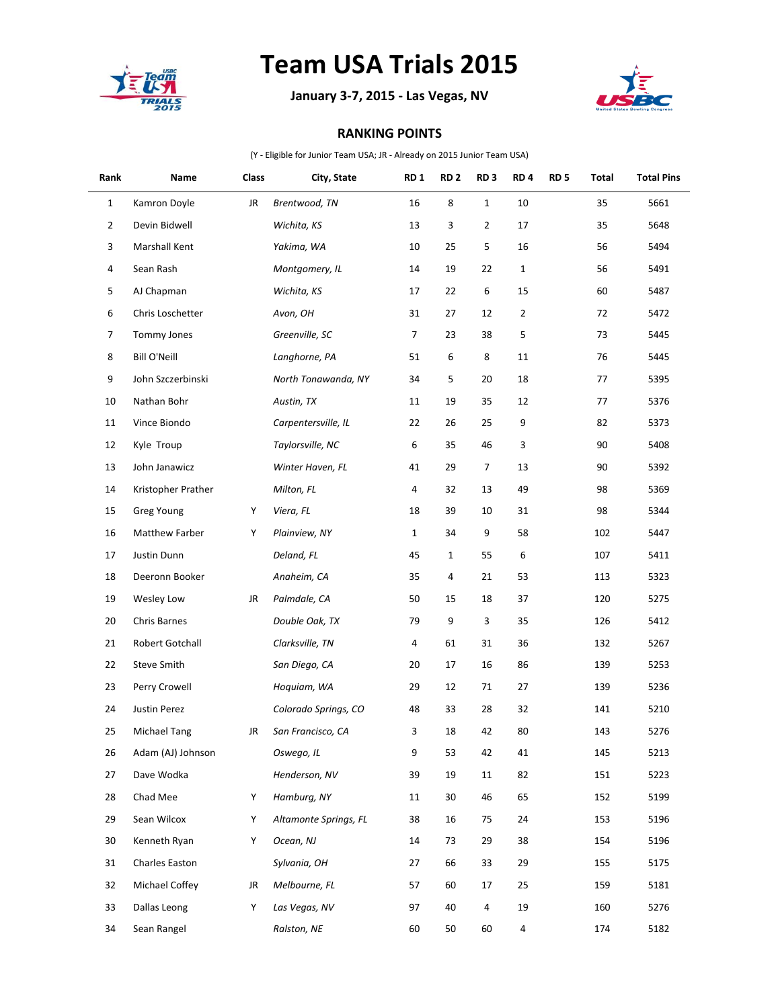

## **Team USA Trials 2015**

**January 3-7, 2015 - Las Vegas, NV**



## **RANKING POINTS**

(Y - Eligible for Junior Team USA; JR - Already on 2015 Junior Team USA)

| Rank           | Name                 | Class | City, State           | RD <sub>1</sub> | RD <sub>2</sub> | RD <sub>3</sub> | RD <sub>4</sub> | <b>RD 5</b> | Total | <b>Total Pins</b> |
|----------------|----------------------|-------|-----------------------|-----------------|-----------------|-----------------|-----------------|-------------|-------|-------------------|
| $\mathbf{1}$   | Kamron Doyle         | JR    | Brentwood, TN         | 16              | 8               | $\mathbf{1}$    | $10\,$          |             | 35    | 5661              |
| $\overline{2}$ | Devin Bidwell        |       | Wichita, KS           | 13              | 3               | $\overline{2}$  | 17              |             | 35    | 5648              |
| 3              | <b>Marshall Kent</b> |       | Yakima, WA            | 10              | 25              | 5               | 16              |             | 56    | 5494              |
| 4              | Sean Rash            |       | Montgomery, IL        | 14              | 19              | 22              | 1               |             | 56    | 5491              |
| 5              | AJ Chapman           |       | Wichita, KS           | 17              | 22              | 6               | 15              |             | 60    | 5487              |
| 6              | Chris Loschetter     |       | Avon, OH              | 31              | 27              | 12              | $\overline{2}$  |             | 72    | 5472              |
| 7              | Tommy Jones          |       | Greenville, SC        | 7               | 23              | 38              | 5               |             | 73    | 5445              |
| 8              | <b>Bill O'Neill</b>  |       | Langhorne, PA         | 51              | 6               | 8               | $11\,$          |             | 76    | 5445              |
| 9              | John Szczerbinski    |       | North Tonawanda, NY   | 34              | 5               | 20              | 18              |             | 77    | 5395              |
| 10             | Nathan Bohr          |       | Austin, TX            | 11              | 19              | 35              | 12              |             | 77    | 5376              |
| 11             | Vince Biondo         |       | Carpentersville, IL   | 22              | 26              | 25              | 9               |             | 82    | 5373              |
| 12             | Kyle Troup           |       | Taylorsville, NC      | 6               | 35              | 46              | 3               |             | 90    | 5408              |
| 13             | John Janawicz        |       | Winter Haven, FL      | 41              | 29              | $\overline{7}$  | 13              |             | 90    | 5392              |
| 14             | Kristopher Prather   |       | Milton, FL            | 4               | 32              | 13              | 49              |             | 98    | 5369              |
| 15             | Greg Young           | Y     | Viera, FL             | 18              | 39              | 10              | 31              |             | 98    | 5344              |
| 16             | Matthew Farber       | Υ     | Plainview, NY         | $\mathbf{1}$    | 34              | 9               | 58              |             | 102   | 5447              |
| 17             | Justin Dunn          |       | Deland, FL            | 45              | $\mathbf{1}$    | 55              | 6               |             | 107   | 5411              |
| 18             | Deeronn Booker       |       | Anaheim, CA           | 35              | 4               | 21              | 53              |             | 113   | 5323              |
| 19             | Wesley Low           | JR    | Palmdale, CA          | 50              | 15              | 18              | 37              |             | 120   | 5275              |
| 20             | Chris Barnes         |       | Double Oak, TX        | 79              | 9               | 3               | 35              |             | 126   | 5412              |
| 21             | Robert Gotchall      |       | Clarksville, TN       | 4               | 61              | 31              | 36              |             | 132   | 5267              |
| 22             | Steve Smith          |       | San Diego, CA         | 20              | 17              | 16              | 86              |             | 139   | 5253              |
| 23             | Perry Crowell        |       | Hoquiam, WA           | 29              | 12              | 71              | 27              |             | 139   | 5236              |
| 24             | Justin Perez         |       | Colorado Springs, CO  | 48              | 33              | 28              | 32              |             | 141   | 5210              |
| 25             | <b>Michael Tang</b>  | JR    | San Francisco, CA     | 3               | 18              | 42              | 80              |             | 143   | 5276              |
| 26             | Adam (AJ) Johnson    |       | Oswego, IL            | 9               | 53              | 42              | 41              |             | 145   | 5213              |
| 27             | Dave Wodka           |       | Henderson, NV         | 39              | 19              | 11              | 82              |             | 151   | 5223              |
| 28             | Chad Mee             | Υ     | Hamburg, NY           | 11              | 30              | 46              | 65              |             | 152   | 5199              |
| 29             | Sean Wilcox          | Υ     | Altamonte Springs, FL | 38              | 16              | 75              | 24              |             | 153   | 5196              |
| 30             | Kenneth Ryan         | Y     | Ocean, NJ             | 14              | 73              | 29              | 38              |             | 154   | 5196              |
| 31             | Charles Easton       |       | Sylvania, OH          | 27              | 66              | 33              | 29              |             | 155   | 5175              |
| 32             | Michael Coffey       | JR    | Melbourne, FL         | 57              | 60              | 17              | 25              |             | 159   | 5181              |
| 33             | Dallas Leong         | Υ     | Las Vegas, NV         | 97              | 40              | 4               | 19              |             | 160   | 5276              |
| 34             | Sean Rangel          |       | Ralston, NE           | 60              | 50              | 60              | 4               |             | 174   | 5182              |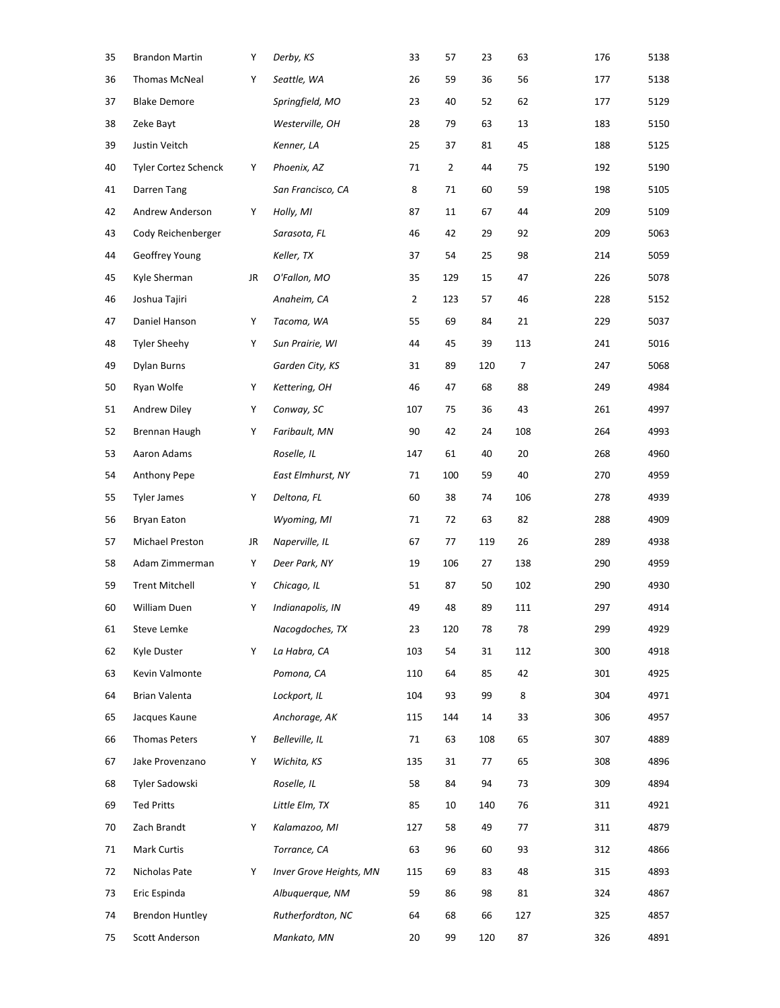| 35 | <b>Brandon Martin</b>  | Υ  | Derby, KS               | 33             | 57  | 23  | 63  | 176 | 5138 |
|----|------------------------|----|-------------------------|----------------|-----|-----|-----|-----|------|
| 36 | <b>Thomas McNeal</b>   | Υ  | Seattle, WA             | 26             | 59  | 36  | 56  | 177 | 5138 |
| 37 | <b>Blake Demore</b>    |    | Springfield, MO         | 23             | 40  | 52  | 62  | 177 | 5129 |
| 38 | Zeke Bayt              |    | Westerville, OH         | 28             | 79  | 63  | 13  | 183 | 5150 |
| 39 | Justin Veitch          |    | Kenner, LA              | 25             | 37  | 81  | 45  | 188 | 5125 |
| 40 | Tyler Cortez Schenck   | Y  | Phoenix, AZ             | 71             | 2   | 44  | 75  | 192 | 5190 |
| 41 | Darren Tang            |    | San Francisco, CA       | 8              | 71  | 60  | 59  | 198 | 5105 |
| 42 | Andrew Anderson        | Y  | Holly, MI               | 87             | 11  | 67  | 44  | 209 | 5109 |
| 43 | Cody Reichenberger     |    | Sarasota, FL            | 46             | 42  | 29  | 92  | 209 | 5063 |
| 44 | Geoffrey Young         |    | Keller, TX              | 37             | 54  | 25  | 98  | 214 | 5059 |
| 45 | Kyle Sherman           | JR | O'Fallon, MO            | 35             | 129 | 15  | 47  | 226 | 5078 |
| 46 | Joshua Tajiri          |    | Anaheim, CA             | $\overline{2}$ | 123 | 57  | 46  | 228 | 5152 |
| 47 | Daniel Hanson          | Υ  | Tacoma, WA              | 55             | 69  | 84  | 21  | 229 | 5037 |
| 48 | <b>Tyler Sheehy</b>    | Υ  | Sun Prairie, WI         | 44             | 45  | 39  | 113 | 241 | 5016 |
| 49 | <b>Dylan Burns</b>     |    | Garden City, KS         | 31             | 89  | 120 | 7   | 247 | 5068 |
| 50 | Ryan Wolfe             | Υ  | Kettering, OH           | 46             | 47  | 68  | 88  | 249 | 4984 |
| 51 | Andrew Diley           | Υ  | Conway, SC              | 107            | 75  | 36  | 43  | 261 | 4997 |
| 52 | Brennan Haugh          | Υ  | Faribault, MN           | 90             | 42  | 24  | 108 | 264 | 4993 |
| 53 | Aaron Adams            |    | Roselle, IL             | 147            | 61  | 40  | 20  | 268 | 4960 |
| 54 | Anthony Pepe           |    | East Elmhurst, NY       | 71             | 100 | 59  | 40  | 270 | 4959 |
| 55 | <b>Tyler James</b>     | Υ  | Deltona, FL             | 60             | 38  | 74  | 106 | 278 | 4939 |
| 56 | <b>Bryan Eaton</b>     |    | Wyoming, MI             | 71             | 72  | 63  | 82  | 288 | 4909 |
| 57 | Michael Preston        | JR | Naperville, IL          | 67             | 77  | 119 | 26  | 289 | 4938 |
| 58 | Adam Zimmerman         | Υ  | Deer Park, NY           | 19             | 106 | 27  | 138 | 290 | 4959 |
| 59 | <b>Trent Mitchell</b>  | Υ  | Chicago, IL             | 51             | 87  | 50  | 102 | 290 | 4930 |
| 60 | William Duen           | Υ  | Indianapolis, IN        | 49             | 48  | 89  | 111 | 297 | 4914 |
| 61 | Steve Lemke            |    | Nacogdoches, TX         | 23             | 120 | 78  | 78  | 299 | 4929 |
| 62 | Kyle Duster            | Y  | La Habra, CA            | 103            | 54  | 31  | 112 | 300 | 4918 |
| 63 | Kevin Valmonte         |    | Pomona, CA              | 110            | 64  | 85  | 42  | 301 | 4925 |
| 64 | Brian Valenta          |    | Lockport, IL            | 104            | 93  | 99  | 8   | 304 | 4971 |
| 65 | Jacques Kaune          |    | Anchorage, AK           | 115            | 144 | 14  | 33  | 306 | 4957 |
| 66 | <b>Thomas Peters</b>   | Υ  | Belleville, IL          | 71             | 63  | 108 | 65  | 307 | 4889 |
| 67 | Jake Provenzano        | Y  | Wichita, KS             | 135            | 31  | 77  | 65  | 308 | 4896 |
| 68 | Tyler Sadowski         |    | Roselle, IL             | 58             | 84  | 94  | 73  | 309 | 4894 |
| 69 | <b>Ted Pritts</b>      |    | Little Elm, TX          | 85             | 10  | 140 | 76  | 311 | 4921 |
| 70 | Zach Brandt            | Y  | Kalamazoo, MI           | 127            | 58  | 49  | 77  | 311 | 4879 |
| 71 | Mark Curtis            |    | Torrance, CA            | 63             | 96  | 60  | 93  | 312 | 4866 |
| 72 | Nicholas Pate          | Υ  | Inver Grove Heights, MN | 115            | 69  | 83  | 48  | 315 | 4893 |
| 73 | Eric Espinda           |    | Albuquerque, NM         | 59             | 86  | 98  | 81  | 324 | 4867 |
| 74 | <b>Brendon Huntley</b> |    | Rutherfordton, NC       | 64             | 68  | 66  | 127 | 325 | 4857 |
| 75 | Scott Anderson         |    | Mankato, MN             | 20             | 99  | 120 | 87  | 326 | 4891 |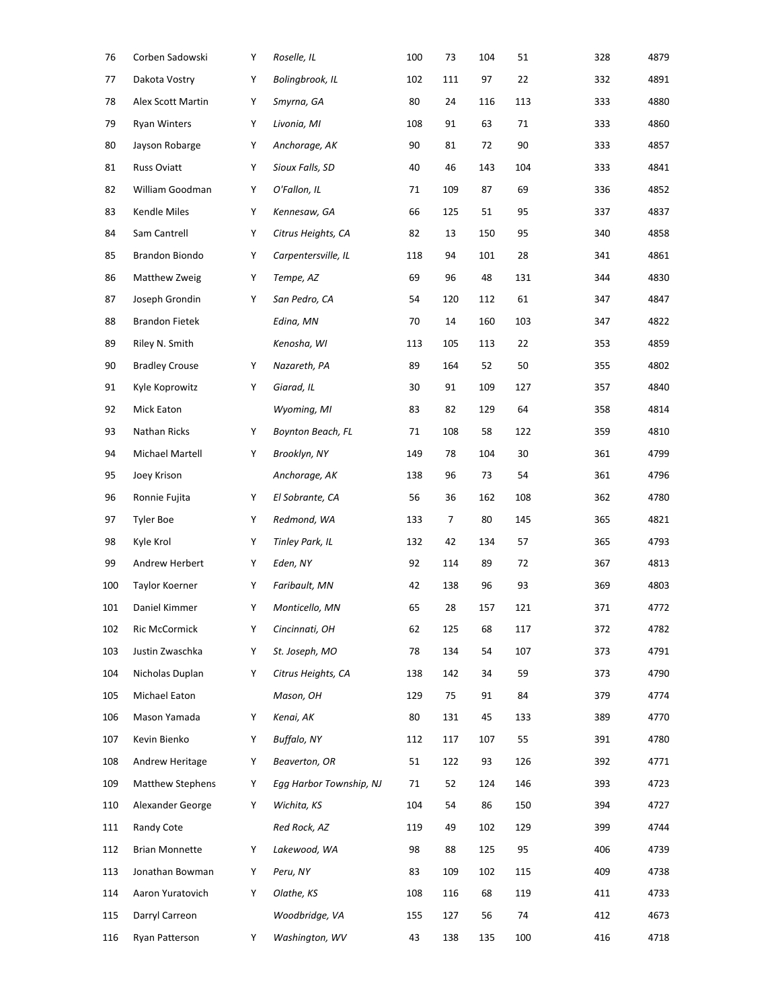| 76  | Corben Sadowski         | Υ | Roselle, IL             | 100 | 73  | 104 | 51  | 328 | 4879 |
|-----|-------------------------|---|-------------------------|-----|-----|-----|-----|-----|------|
| 77  | Dakota Vostry           | Υ | Bolingbrook, IL         | 102 | 111 | 97  | 22  | 332 | 4891 |
| 78  | Alex Scott Martin       | Υ | Smyrna, GA              | 80  | 24  | 116 | 113 | 333 | 4880 |
| 79  | <b>Ryan Winters</b>     | Υ | Livonia, MI             | 108 | 91  | 63  | 71  | 333 | 4860 |
| 80  | Jayson Robarge          | Υ | Anchorage, AK           | 90  | 81  | 72  | 90  | 333 | 4857 |
| 81  | Russ Oviatt             | Υ | Sioux Falls, SD         | 40  | 46  | 143 | 104 | 333 | 4841 |
| 82  | William Goodman         | Υ | O'Fallon, IL            | 71  | 109 | 87  | 69  | 336 | 4852 |
| 83  | Kendle Miles            | Υ | Kennesaw, GA            | 66  | 125 | 51  | 95  | 337 | 4837 |
| 84  | Sam Cantrell            | Υ | Citrus Heights, CA      | 82  | 13  | 150 | 95  | 340 | 4858 |
| 85  | Brandon Biondo          | Υ | Carpentersville, IL     | 118 | 94  | 101 | 28  | 341 | 4861 |
| 86  | Matthew Zweig           | Υ | Tempe, AZ               | 69  | 96  | 48  | 131 | 344 | 4830 |
| 87  | Joseph Grondin          | Υ | San Pedro, CA           | 54  | 120 | 112 | 61  | 347 | 4847 |
| 88  | <b>Brandon Fietek</b>   |   | Edina, MN               | 70  | 14  | 160 | 103 | 347 | 4822 |
| 89  | Riley N. Smith          |   | Kenosha, WI             | 113 | 105 | 113 | 22  | 353 | 4859 |
| 90  | <b>Bradley Crouse</b>   | Υ | Nazareth, PA            | 89  | 164 | 52  | 50  | 355 | 4802 |
| 91  | Kyle Koprowitz          | Υ | Giarad, IL              | 30  | 91  | 109 | 127 | 357 | 4840 |
| 92  | Mick Eaton              |   | Wyoming, MI             | 83  | 82  | 129 | 64  | 358 | 4814 |
| 93  | Nathan Ricks            | Υ | Boynton Beach, FL       | 71  | 108 | 58  | 122 | 359 | 4810 |
| 94  | Michael Martell         | Υ | Brooklyn, NY            | 149 | 78  | 104 | 30  | 361 | 4799 |
| 95  | Joey Krison             |   | Anchorage, AK           | 138 | 96  | 73  | 54  | 361 | 4796 |
| 96  | Ronnie Fujita           | Υ | El Sobrante, CA         | 56  | 36  | 162 | 108 | 362 | 4780 |
| 97  | <b>Tyler Boe</b>        | Υ | Redmond, WA             | 133 | 7   | 80  | 145 | 365 | 4821 |
| 98  | Kyle Krol               | Υ | Tinley Park, IL         | 132 | 42  | 134 | 57  | 365 | 4793 |
| 99  | Andrew Herbert          | Υ | Eden, NY                | 92  | 114 | 89  | 72  | 367 | 4813 |
| 100 | Taylor Koerner          | Υ | Faribault, MN           | 42  | 138 | 96  | 93  | 369 | 4803 |
| 101 | Daniel Kimmer           | Υ | Monticello, MN          | 65  | 28  | 157 | 121 | 371 | 4772 |
| 102 | Ric McCormick           | Υ | Cincinnati, OH          | 62  | 125 | 68  | 117 | 372 | 4782 |
| 103 | Justin Zwaschka         | Υ | St. Joseph, MO          | 78  | 134 | 54  | 107 | 373 | 4791 |
| 104 | Nicholas Duplan         | Υ | Citrus Heights, CA      | 138 | 142 | 34  | 59  | 373 | 4790 |
| 105 | Michael Eaton           |   | Mason, OH               | 129 | 75  | 91  | 84  | 379 | 4774 |
| 106 | Mason Yamada            | Υ | Kenai, AK               | 80  | 131 | 45  | 133 | 389 | 4770 |
| 107 | Kevin Bienko            | Υ | Buffalo, NY             | 112 | 117 | 107 | 55  | 391 | 4780 |
| 108 | Andrew Heritage         | Y | Beaverton, OR           | 51  | 122 | 93  | 126 | 392 | 4771 |
| 109 | <b>Matthew Stephens</b> | Υ | Egg Harbor Township, NJ | 71  | 52  | 124 | 146 | 393 | 4723 |
| 110 | Alexander George        | Y | Wichita, KS             | 104 | 54  | 86  | 150 | 394 | 4727 |
| 111 | Randy Cote              |   | Red Rock, AZ            | 119 | 49  | 102 | 129 | 399 | 4744 |
| 112 | <b>Brian Monnette</b>   | Y | Lakewood, WA            | 98  | 88  | 125 | 95  | 406 | 4739 |
| 113 | Jonathan Bowman         | Υ | Peru, NY                | 83  | 109 | 102 | 115 | 409 | 4738 |
| 114 | Aaron Yuratovich        | Υ | Olathe, KS              | 108 | 116 | 68  | 119 | 411 | 4733 |
| 115 | Darryl Carreon          |   | Woodbridge, VA          | 155 | 127 | 56  | 74  | 412 | 4673 |
| 116 | Ryan Patterson          | Y | Washington, WV          | 43  | 138 | 135 | 100 | 416 | 4718 |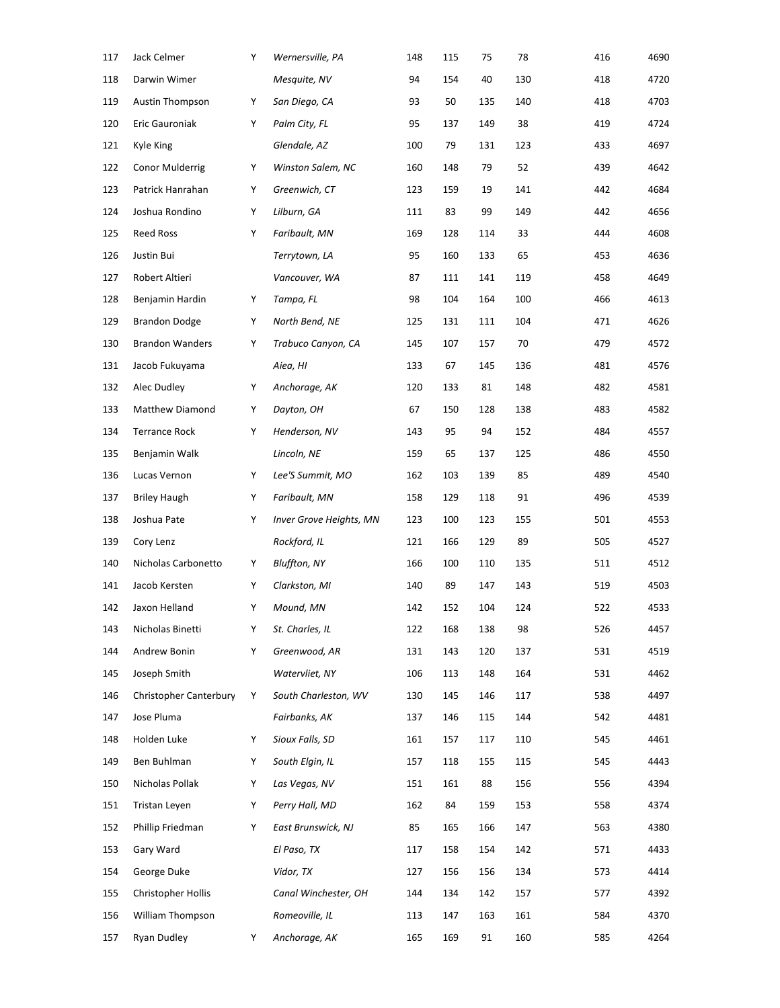| 117 | Jack Celmer            | Υ | Wernersville, PA               | 148 | 115 | 75  | 78  | 416 | 4690 |
|-----|------------------------|---|--------------------------------|-----|-----|-----|-----|-----|------|
| 118 | Darwin Wimer           |   | Mesquite, NV                   | 94  | 154 | 40  | 130 | 418 | 4720 |
| 119 | <b>Austin Thompson</b> | Υ | San Diego, CA                  | 93  | 50  | 135 | 140 | 418 | 4703 |
| 120 | Eric Gauroniak         | Υ | Palm City, FL                  | 95  | 137 | 149 | 38  | 419 | 4724 |
| 121 | Kyle King              |   | Glendale, AZ                   | 100 | 79  | 131 | 123 | 433 | 4697 |
| 122 | Conor Mulderrig        | Υ | Winston Salem, NC              | 160 | 148 | 79  | 52  | 439 | 4642 |
| 123 | Patrick Hanrahan       | Υ | Greenwich, CT                  | 123 | 159 | 19  | 141 | 442 | 4684 |
| 124 | Joshua Rondino         | Υ | Lilburn, GA                    | 111 | 83  | 99  | 149 | 442 | 4656 |
| 125 | <b>Reed Ross</b>       | Υ | Faribault, MN                  | 169 | 128 | 114 | 33  | 444 | 4608 |
| 126 | Justin Bui             |   | Terrytown, LA                  | 95  | 160 | 133 | 65  | 453 | 4636 |
| 127 | Robert Altieri         |   | Vancouver, WA                  | 87  | 111 | 141 | 119 | 458 | 4649 |
| 128 | Benjamin Hardin        | Υ | Tampa, FL                      | 98  | 104 | 164 | 100 | 466 | 4613 |
| 129 | <b>Brandon Dodge</b>   | Υ | North Bend, NE                 | 125 | 131 | 111 | 104 | 471 | 4626 |
| 130 | <b>Brandon Wanders</b> | Υ | Trabuco Canyon, CA             | 145 | 107 | 157 | 70  | 479 | 4572 |
| 131 | Jacob Fukuyama         |   | Aiea, HI                       | 133 | 67  | 145 | 136 | 481 | 4576 |
| 132 | Alec Dudley            | Υ | Anchorage, AK                  | 120 | 133 | 81  | 148 | 482 | 4581 |
| 133 | Matthew Diamond        | Υ | Dayton, OH                     | 67  | 150 | 128 | 138 | 483 | 4582 |
| 134 | <b>Terrance Rock</b>   | Υ | Henderson, NV                  | 143 | 95  | 94  | 152 | 484 | 4557 |
| 135 | Benjamin Walk          |   | Lincoln, NE                    | 159 | 65  | 137 | 125 | 486 | 4550 |
| 136 | Lucas Vernon           | Υ | Lee'S Summit, MO               | 162 | 103 | 139 | 85  | 489 | 4540 |
| 137 | <b>Briley Haugh</b>    | Υ | Faribault, MN                  | 158 | 129 | 118 | 91  | 496 | 4539 |
| 138 | Joshua Pate            | Υ | <b>Inver Grove Heights, MN</b> | 123 | 100 | 123 | 155 | 501 | 4553 |
| 139 | Cory Lenz              |   | Rockford, IL                   | 121 | 166 | 129 | 89  | 505 | 4527 |
| 140 | Nicholas Carbonetto    | Υ | Bluffton, NY                   | 166 | 100 | 110 | 135 | 511 | 4512 |
| 141 | Jacob Kersten          | Υ | Clarkston, MI                  | 140 | 89  | 147 | 143 | 519 | 4503 |
| 142 | Jaxon Helland          | Υ | Mound, MN                      | 142 | 152 | 104 | 124 | 522 | 4533 |
| 143 | Nicholas Binetti       | Υ | St. Charles, IL                | 122 | 168 | 138 | 98  | 526 | 4457 |
| 144 | Andrew Bonin           | Υ | Greenwood, AR                  | 131 | 143 | 120 | 137 | 531 | 4519 |
| 145 | Joseph Smith           |   | Watervliet, NY                 | 106 | 113 | 148 | 164 | 531 | 4462 |
| 146 | Christopher Canterbury | Υ | South Charleston, WV           | 130 | 145 | 146 | 117 | 538 | 4497 |
| 147 | Jose Pluma             |   | Fairbanks, AK                  | 137 | 146 | 115 | 144 | 542 | 4481 |
| 148 | Holden Luke            | Υ | Sioux Falls, SD                | 161 | 157 | 117 | 110 | 545 | 4461 |
| 149 | Ben Buhlman            | Υ | South Elgin, IL                | 157 | 118 | 155 | 115 | 545 | 4443 |
| 150 | Nicholas Pollak        | Y | Las Vegas, NV                  | 151 | 161 | 88  | 156 | 556 | 4394 |
| 151 | Tristan Leyen          | Y | Perry Hall, MD                 | 162 | 84  | 159 | 153 | 558 | 4374 |
| 152 | Phillip Friedman       | Υ | East Brunswick, NJ             | 85  | 165 | 166 | 147 | 563 | 4380 |
| 153 | Gary Ward              |   | El Paso, TX                    | 117 | 158 | 154 | 142 | 571 | 4433 |
| 154 | George Duke            |   | Vidor, TX                      | 127 | 156 | 156 | 134 | 573 | 4414 |
| 155 | Christopher Hollis     |   | Canal Winchester, OH           | 144 | 134 | 142 | 157 | 577 | 4392 |
| 156 | William Thompson       |   | Romeoville, IL                 | 113 | 147 | 163 | 161 | 584 | 4370 |
| 157 | Ryan Dudley            | Υ | Anchorage, AK                  | 165 | 169 | 91  | 160 | 585 | 4264 |